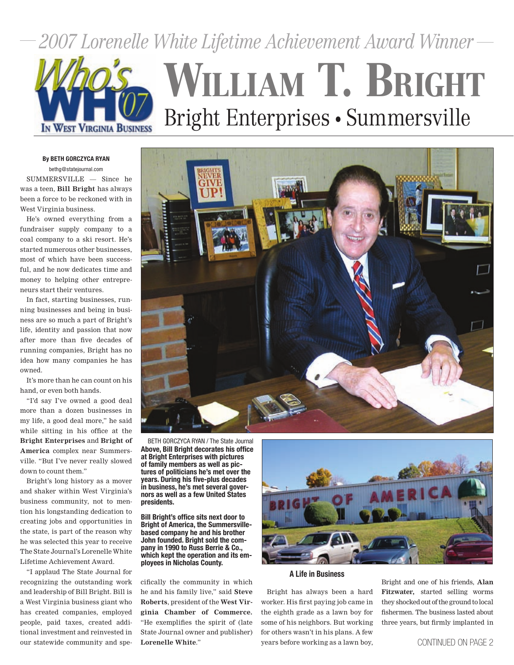*2007 Lorenelle White Lifetime Achievement Award Winner*



# WILLIAM T. BRIGHT Bright Enterprises • Summersville

#### By BETH GORCZYCA RYAN

bethg@statejournal.com

SUMMERSVILLE — Since he was a teen, **Bill Bright** has always been a force to be reckoned with in West Virginia business.

He's owned everything from a fundraiser supply company to a coal company to a ski resort. He's started numerous other businesses, most of which have been successful, and he now dedicates time and money to helping other entrepreneurs start their ventures.

In fact, starting businesses, running businesses and being in business are so much a part of Bright's life, identity and passion that now after more than five decades of running companies, Bright has no idea how many companies he has owned.

It's more than he can count on his hand, or even both hands.

"I'd say I've owned a good deal more than a dozen businesses in my life, a good deal more," he said while sitting in his office at the **Bright Enterprises** and **Bright of America** complex near Summersville. "But I've never really slowed down to count them."

Bright's long history as a mover and shaker within West Virginia's business community, not to mention his longstanding dedication to creating jobs and opportunities in the state, is part of the reason why he was selected this year to receive The State Journal's Lorenelle White Lifetime Achievement Award.

"I applaud The State Journal for recognizing the outstanding work and leadership of Bill Bright. Bill is a West Virginia business giant who has created companies, employed people, paid taxes, created additional investment and reinvested in our statewide community and speAbove, Bill Bright decorates his office at Bright Enterprises with pictures of family members as well as pictures of politicians he's met over the years. During his five-plus decades in business, he's met several governors as well as a few United States presidents.

Bill Bright's office sits next door to Bright of America, the Summersvillebased company he and his brother John founded. Bright sold the company in 1990 to Russ Berrie & Co., which kept the operation and its employees in Nicholas County.

cifically the community in which he and his family live," said **Steve Roberts**, president of the **West Virginia Chamber of Commerce.** "He exemplifies the spirit of (late State Journal owner and publisher) **Lorenelle White**."



A Life in Business

Bright has always been a hard worker. His first paying job came in the eighth grade as a lawn boy for some of his neighbors. But working for others wasn't in his plans. A few years before working as a lawn boy,

Bright and one of his friends, **Alan Fitzwater,** started selling worms they shocked out of the ground to local fishermen. The business lasted about three years, but firmly implanted in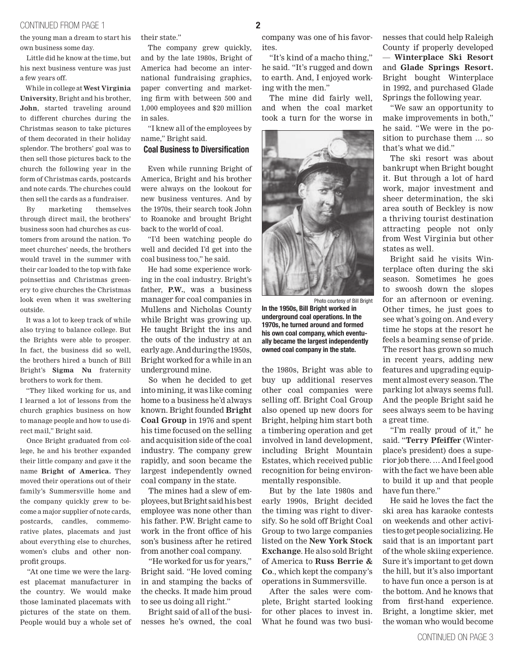## continued from page 1 2 2

the young man a dream to start his own business some day.

Little did he know at the time, but his next business venture was just a few years off.

While in college at **West Virginia University**, Bright and his brother, **John**, started traveling around to different churches during the Christmas season to take pictures of them decorated in their holiday splendor. The brothers' goal was to then sell those pictures back to the church the following year in the form of Christmas cards, postcards and note cards. The churches could then sell the cards as a fundraiser.

By marketing themselves through direct mail, the brothers' business soon had churches as customers from around the nation. To meet churches' needs, the brothers would travel in the summer with their car loaded to the top with fake poinsettias and Christmas greenery to give churches the Christmas look even when it was sweltering outside.

It was a lot to keep track of while also trying to balance college. But the Brights were able to prosper. In fact, the business did so well, the brothers hired a bunch of Bill Bright's **Sigma Nu** fraternity brothers to work for them.

"They liked working for us, and I learned a lot of lessons from the church graphics business on how to manage people and how to use direct mail," Bright said.

Once Bright graduated from college, he and his brother expanded their little company and gave it the name **Bright of America.** They moved their operations out of their family's Summersville home and the company quickly grew to become a major supplier of note cards, postcards, candles, commemorative plates, placemats and just about everything else to churches, women's clubs and other nonprofit groups.

"At one time we were the largest placemat manufacturer in the country. We would make those laminated placemats with pictures of the state on them. People would buy a whole set of their state."

The company grew quickly, and by the late 1980s, Bright of America had become an international fundraising graphics, paper converting and marketing firm with between 500 and 1,000 employees and \$20 million in sales.

"I knew all of the employees by name," Bright said.

## Coal Business to Diversification

Even while running Bright of America, Bright and his brother were always on the lookout for new business ventures. And by the 1970s, their search took John to Roanoke and brought Bright back to the world of coal.

"I'd been watching people do well and decided I'd get into the coal business too," he said.

He had some experience working in the coal industry. Bright's father, **P.W.**, was a business manager for coal companies in Mullens and Nicholas County while Bright was growing up. He taught Bright the ins and the outs of the industry at an early age. And during the 1950s, Bright worked for a while in an underground mine.

So when he decided to get into mining, it was like coming home to a business he'd always known. Bright founded **Bright Coal Group** in 1976 and spent his time focused on the selling and acquisition side of the coal industry. The company grew rapidly, and soon became the largest independently owned coal company in the state.

The mines had a slew of employees, but Bright said his best employee was none other than his father. P.W. Bright came to work in the front office of his son's business after he retired from another coal company.

"He worked for us for years," Bright said. "He loved coming in and stamping the backs of the checks. It made him proud to see us doing all right."

Bright said of all of the businesses he's owned, the coal

company was one of his favorites.

"It's kind of a macho thing," he said. "It's rugged and down to earth. And, I enjoyed working with the men."

The mine did fairly well, and when the coal market took a turn for the worse in



Photo courtesy of Bill Bright In the 1950s, Bill Bright worked in underground coal operations. In the 1970s, he turned around and formed his own coal company, which eventually became the largest independently owned coal company in the state.

the 1980s, Bright was able to buy up additional reserves other coal companies were selling off. Bright Coal Group also opened up new doors for Bright, helping him start both a timbering operation and get involved in land development, including Bright Mountain Estates, which received public recognition for being environmentally responsible.

But by the late 1980s and early 1990s, Bright decided the timing was right to diversify. So he sold off Bright Coal Group to two large companies listed on the **New York Stock Exchange**. He also sold Bright of America to **Russ Berrie & Co**., which kept the company's operations in Summersville.

After the sales were complete, Bright started looking for other places to invest in. What he found was two busi-

nesses that could help Raleigh County if properly developed — **Winterplace Ski Resort** and **Glade Springs Resort.**  Bright bought Winterplace in 1992, and purchased Glade Springs the following year.

"We saw an opportunity to make improvements in both," he said. "We were in the position to purchase them … so that's what we did."

The ski resort was about bankrupt when Bright bought it. But through a lot of hard work, major investment and sheer determination, the ski area south of Beckley is now a thriving tourist destination attracting people not only from West Virginia but other states as well.

Bright said he visits Winterplace often during the ski season. Sometimes he goes to swoosh down the slopes for an afternoon or evening. Other times, he just goes to see what's going on. And every time he stops at the resort he feels a beaming sense of pride. The resort has grown so much in recent years, adding new features and upgrading equipment almost every season. The parking lot always seems full. And the people Bright said he sees always seem to be having a great time.

"I'm really proud of it," he said. "**Terry Pfeiffer** (Winterplace's president) does a superior job there. … And I feel good with the fact we have been able to build it up and that people have fun there."

He said he loves the fact the ski area has karaoke contests on weekends and other activities to get people socializing. He said that is an important part of the whole skiing experience. Sure it's important to get down the hill, but it's also important to have fun once a person is at the bottom. And he knows that from first-hand experience. Bright, a longtime skier, met the woman who would become